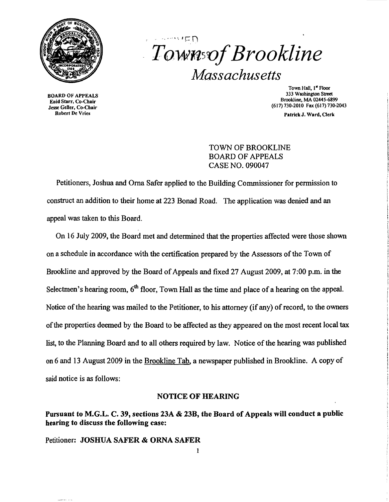

# $\cdots$   $\cdots$   $\vdash$  n  $T$ *Ownsof Brookline Massachusetts*

BOARD OF APPEALS Enid Starr, Co-Chair Jesse Geller, Co-Chair Robert De Vries

Town Hall, 1<sup>st</sup> Floor 333 Washington Street Brookline, MA 02445-6899 (617)730-2010 Fax (617)730-2043

Patrick J. Ward, Oerk

# TOWN OF BROOKLINE BOARD OF APPEALS CASE NO. 090047

Petitioners, Joshua and Orna Safer applied to the Building Commissioner for permission to construct an addition to their home at 223 Bonad Road. The application was denied and an appeal was taken to this Board.

On 16 July 2009, the Board met and determined that the properties affected were those shown on a schedule in accordance with the certification prepared by the Assessors of the Town of Brookline and approved by the Board of Appeals and fixed 27 August 2009, at 7:00 p.m. in the Selectmen's hearing room,  $6<sup>th</sup>$  floor, Town Hall as the time and place of a hearing on the appeal. Notice of the hearing was mailed to the Petitioner, to his attorney (if any) of record, to the owners ofthe properties deemed by the Board to be affected as they appeared on the most recent local tax list, to the Planning Board and to all others required by law. Notice of the hearing was published on 6 and 13 August 2009 in the Brookline Tab, a newspaper published in Brookline. A copy of said notice is as follows:

### NOTICE OF HEARING

# Pursuant to M.G.L. C. 39, sections  $23A \& 23B$ , the Board of Appeals will conduct a public hearing to discuss the following case:

Petitioner: JOSHUA SAFER & ORNA SAFER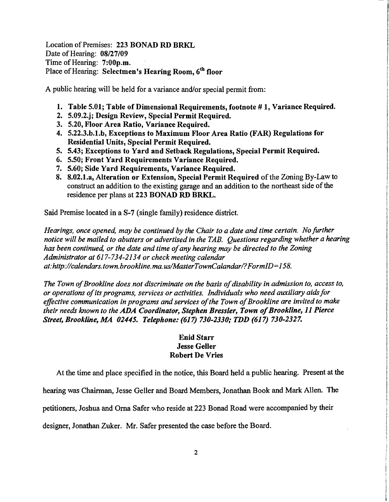Location of Premises: 223 BONAD RD BRKL Date of Hearing: 08/27/09 Time of Hearing: 7:00p.m. Place of Hearing: Selectmen's Hearing Room, 6<sup>th</sup> floor

A public hearing will be held for a variance and/or special permit from:

- 1. Table 5.01; Table of Dimensional Requirements, footnote #1, Variance Required.
- 2. 5.09.2.j; Design Review, Special Permit Required.
- 3. 5.20, Floor Area Ratio, Variance Required.
- 4. 5.22.3.b.l.b, Exceptions to Maximum Floor Area Ratio (FAR) Regulations for Residential Units, Special Permit Required.
- 5. 5.43; Exceptions to Yard and Setback Regulations, Special Permit Required.
- 6. 5.50; Front Yard Requirements Variance Required.
- 7. 5.60; Side Yard Requirements, Variance Required.
- 8. 8.02.1.a, Alteration or Extension, Special Permit Required of the Zoning By-Law to construct an addition to the existing garage and an addition to the northeast side of the residence per plans at 223 BONAD RD BRKL.

Said Premise located in a S-7 (single family) residence district.

*Hearings, once opened, may be continued by the Chair to a date and time certain. No further notice will be mailed to abutters or advertised in the TAB. Questions regarding whether a hearing has been continued, or the date and time ofany hearing may be directed to the Zoning Administrator at* 617-734-2134 *or check meeting calendar at:http://calendars.town.brookline.ma.usIMasterTownCalandarl?FormID=158.* 

*The Town of Brookline does not discriminate on the basis of disability in admission to, access to, or operations ofits programs, services or activities. Individuals who need auxiliary aidsfor*  effective communication in programs and services of the Town of Brookline are invited to make *their needs known to the* ADA *Coordinator, Stephen Bressler, Town ofBrookline,* 11 *Pierce Street, Brookline, MA 02445. Telephone:* (617) *730-2330; TDD* (617) *730-2327.* 

# Enid Starr Jesse Geller Robert De Vries

At the time and place specified in the notice, this Board held a public hearing. Present at the

hearing was Chairman, Jesse Geller and Board Members, Jonathan Book and Mark Allen. The

petitioners, Joshua and Oma Safer who reside at 223 Bonad Road were accompanied by their

designer, Jonathan Zuker. Mr. Safer presented the case before the Board.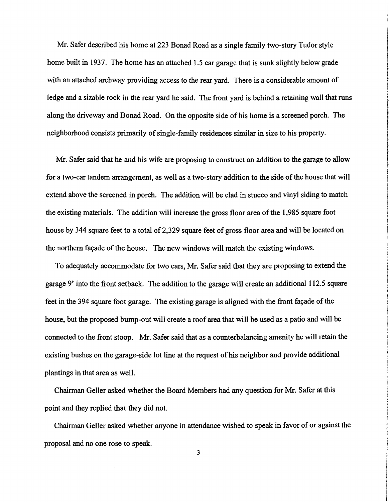Mr. Safer described his home at 223 Bonad Road as a single family two-story Tudor style home built in 1937. The home has an attached 1.5 car garage that is sunk slightly below grade with an attached archway providing access to the rear yard. There is a considerable amount of ledge and a sizable rock in the rear yard he said. The front yard is behind a retaining wall that runs along the driveway and Bonad Road. On the opposite side of his home is a screened porch. The neighborhood consists primarily of single-family residences similar in size to his property.

Mr. Safer said that he and his wife are proposing to construct an addition to the garage to allow for a two-car tandem arrangement, as well as a two-story addition to the side of the house that will extend above the screened in porch. The addition will be clad in stucco and vinyl siding to match the existing materials. The addition will increase the gross floor area of the 1,985 square foot house by 344 square feet to a total of 2,329 square feet of gross floor area and will be located on the northern façade of the house. The new windows will match the existing windows.

To adequately accommodate for two cars, Mr. Safer said that they are proposing to extend the garage 9' into the front setback. The addition to the garage will create an additional 112.5 square feet in the 394 square foot garage. The existing garage is aligned with the front façade of the house, but the proposed bump-out will create a roof area that will be used as a patio and will be connected to the front stoop. Mr. Safer said that as a counterbalancing amenity he will retain the existing bushes on the garage-side lot line at the request of his neighbor and provide additional plantings in that area as well.

Chairman Geller asked whether the Board Members had any question for Mr. Safer at this point and they replied that they did not.

Chairman Geller asked whether anyone in attendance wished to speak in favor of or against the proposal and no one rose to speak.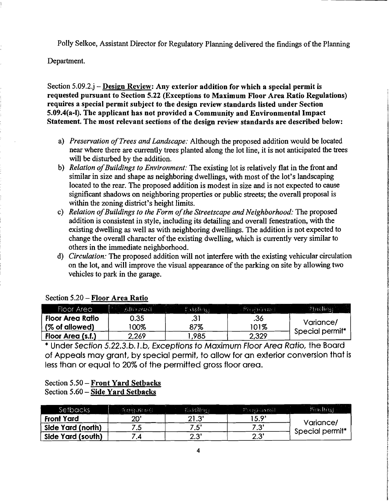Polly Selkoe, Assistant Director for Regulatory Planning delivered the findings of the Planning

Department.

Section 5.09.2.j - Design Review: Any exterior addition for which a special permit is requested pursuant to Section 5.22 (Exceptions to Maximum Floor Area Ratio Regulations) requires a special permit subject to the design review standards listed under Section 5.09.4(a-I). The applicant has not provided a Community and Environmental Impact Statement. The most relevant sections of the design review standards are described below:

- a) *Preservation of Trees and Landscape:* Although the proposed addition would be located near where there are currently trees planted along the lot line, it is not anticipated the trees will be disturbed by the addition.
- b) *Relation of Buildings to Environment:* The existing lot is relatively flat in the front and similar in size and shape as neighboring dwellings, with most of the lot's landscaping located to the rear. The proposed addition is modest in size and is not expected to cause significant shadows on neighboring properties or public streets; the overall proposal is within the zoning district's height limits.
- c) *Relation of Buildings to the Form of the Streetscape and Neighborhood:* The proposed addition is consistent in style, including its detailing and overall fenestration, with the existing dwelling as well as with neighboring dwellings. The addition is not expected to change the overall character of the existing dwelling, which is currently very similar to others in the immediate neighborhood.
- d) *Circulation:* The proposed addition will not interfere with the existing vehicular circulation on the lot, and will improve the visual appearance of the parking on site by allowing two vehicles to park in the garage.

| Floor Area        | Alternail | ABHeg    | 27 de journeur ( | filmoling)      |
|-------------------|-----------|----------|------------------|-----------------|
| Floor Area Ratio  | 0.35      | <b>.</b> | .36              | Variance/       |
| (% of allowed)    | 00%       | 87%      | '01%             | Special permit* |
| Floor Area (s.f.) | 2,269     | ,985     | 2,329            |                 |

### Section 5.20 - Floor Area Ratio

\* Under Section 5.22.3.b.l.b, Exceptions to Maximum Floor Area Ratio, the Board of Appeals may grant, by special permit, to allow for an exterior conversion that is less than or equal to 20% of the permitted gross floor area.

#### Section 5.50 - Front Yard Setbacks Section 5.60 - Side Yard Setbacks

| Setbacks          | ंदे २० वर्तमा २ वे | 拟树的的      | ि छहो के वही | Pinelling                    |
|-------------------|--------------------|-----------|--------------|------------------------------|
| <b>Front Yard</b> | 20                 | 21.3'     | 15.9'        | Variance/<br>Special permit* |
| Side Yard (north) | ں،                 | 7.5'      | י ?י<br>ن.   |                              |
| Side Yard (south) |                    | つつ<br>ن.∠ | 2.3"         |                              |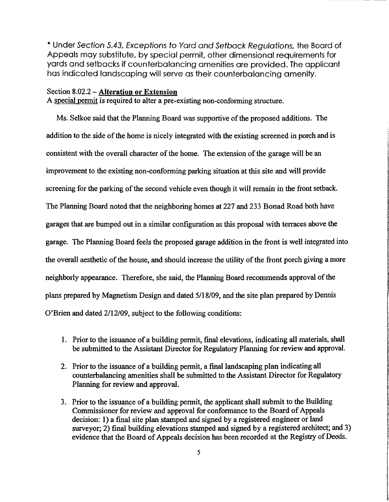\* Under Section 5.43, Exceptions to Yard and Setback Regulations, the Board of Appeals may substitute, by special permit, other dimensional requirements for yards and setbacks if counterbalancing amenities are provided. The applicant has indicated landscaping will serve as their counterbalancing amenity.

#### Section 8.02.2 - Alteration or Extension

A special permit is required to alter a pre-existing non-conforming structure.

Ms. Selkoe said that the Planning Board was supportive of the proposed additions. The addition to the side of the home is nicely integrated with the existing screened in porch and is consistent with the overall character of the home. The extension of the garage will be an improvement to the existing non-conforming parking situation at this site and will provide screening for the parking of the second vehicle even though it will remain in the front setback. The Planning Board noted that the neighboring homes at 227 and 233 Bonad Road both have garages that are bumped out in a similar configuration as this proposal with terraces above the garage. The Planning Board feels the proposed garage addition in the front is well integrated into the overall aesthetic of the house, and should increase the utility of the front porch giving a more neighborly appearance. Therefore, she said, the Planning Board recommends approval of the neighborly appearance. Therefore, she said, the Planning Board recommends approval of the<br>plans prepared by Magnetism Design and dated 5/18/09, and the site plan prepared by Dennis plans prepared by Magnetism Design and dated 5/18/09, and the site plan prepared by Dennis<br>O'Brien and dated 2/12/09, subject to the following conditions:

1. Prior to the issuance of a building permit, final elevations, indicating all materials, shall be submitted to the Assistant Director for Regulatory Planning for review and approval. **the company** !

**CONTRACTORY** 

**light and the complete of the complete of the complete of the complete of the complete of the complete of the c** 

- 2. Prior to the issuance of a building permit, a final landscaping plan indicating all counterbalancing amenities shall be submitted to the Assistant Director for Regulatory<br>Planning for review and approval.
- 3. Prior to the issuance of a building permit, the applicant shall submit to the Building Commissioner for review and approval for conformance to the Board of Appeals<br>decision: 1) a final site plan stamped and signed by a registered engineer or land surveyor; 2) final building elevations stamped and signed by a registered architect; and 3) evidence that the Board of Appeals decision has been recorded at the Registry of Deeds.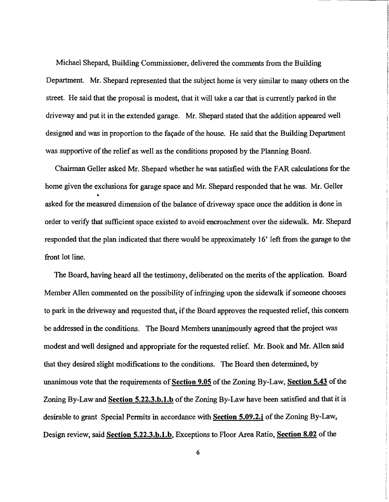Michael Shepard, Building Commissioner, delivered the comments from the Building Department. Mr. Shepard represented that the subject home is very similar to many others on the street. He said that the proposal is modest, that it will take a car that is currently parked in the driveway and put it in the extended garage. Mr. Shepard stated that the addition appeared well designed and was in proportion to the façade of the house. He said that the Building Department was supportive of the relief as well as the conditions proposed by the Planning Board.

Chairman Geller asked Mr. Shepard whether he was satisfied with the FAR calculations for the home given the exclusions for garage space and Mr. Shepard responded that he was. Mr. Geller asked for the measured dimension of the balance of driveway space once the addition is done in order to verify that sufficient space existed to avoid encroachment over the sidewalk. Mr. Shepard responded that the plan indicated that there would be approximately 16' left from the garage to the front lot line.

The Board, having heard all the testimony, deliberated on the merits of the application. Board Member Allen commented on the possibility of infringing upon the sidewalk if someone chooses to park in the driveway and requested that, if the Board approves the requested relief, this concern be addressed in the conditions. The Board Members unanimously agreed that the project was modest and well designed and appropriate for the requested relief. Mr. Book and Mr. Allen said that they desired slight modifications to the conditions. The Board then determined, by unanimous vote that the requirements of Section 9.05 of the Zoning By-Law, Section 5.43 of the Zoning By-Law and Section 5.22.3.b.1.b of the Zoning By-Law have been satisfied and that it is desirable to grant Special Permits in accordance with Section 5.09.2.j of the Zoning By-Law, Design review, said Section 5.22.3.b.1.b, Exceptions to Floor Area Ratio, Section 8.02 of the

6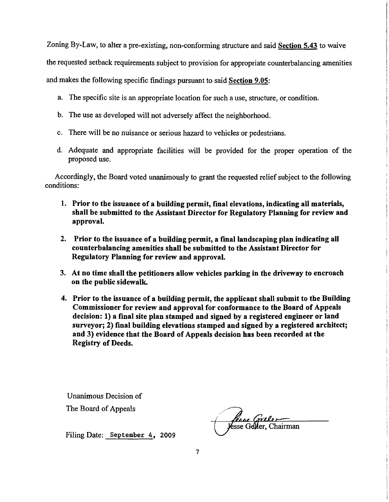Zoning By-Law, to alter a pre-existing, non-conforming structure and said Section 5.43 to waive the requested setback requirements subject to provision for appropriate counterbalancing amenities and makes the following specific findings pursuant to said Section 9.05:

- a. The specific site is an appropriate location for such a use, structure, or condition.
- b. The use as developed will not adversely affect the neighborhood.
- c. There will be no nuisance or serious hazard to vehicles or pedestrians.
- d. Adequate and appropriate facilities will be provided for the proper operation of the proposed use.

Accordingly, the Board voted unanimously to grant the requested relief subject to the following conditions:

- 1. Prior to the issuance of a building permit, final elevations, indicating all materials, shall be submitted to the Assistant Director for Regulatory Planning for review and approval.
- 2. Prior to the issuance of a building permit, a final landscaping plan indicating all counterbalancing amenities shall be submitted to the Assistant Director for Regulatory Planning for review and approval.
- 3. At no time shall the petitioners allow vehicles parking in the driveway to encroach on the public sidewalk.
- 4. Prior to the issuance of a building permit, the applicant shall submit to the Building Commissioner for review and approval for conformance to the Board of Appeals decision: 1) a final site plan stamped and signed by a registered engineer or land surveyor; 2) final building elevations stamped and signed by a registered architect; and 3) evidence that the Board of Appeals decision has been recorded at the Registry of Deeds.

Unanimous Decision of The Board of Appeals

*fesse Grele*<br>Jesse Geller, Chairman

Filing Date: September 4, 2009